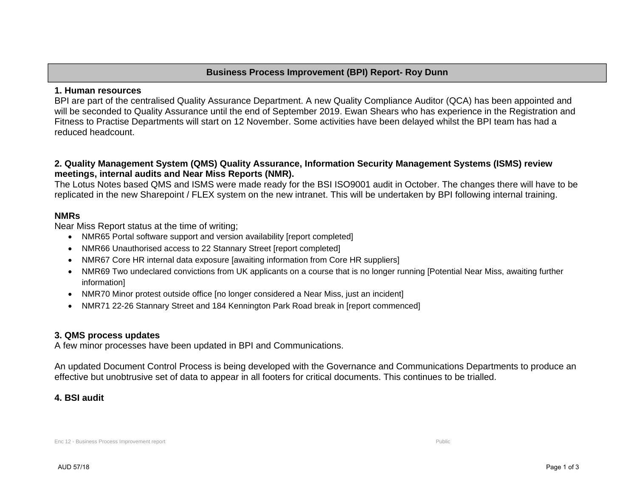# **Business Process Improvement (BPI) Report- Roy Dunn**

#### **1. Human resources**

BPI are part of the centralised Quality Assurance Department. A new Quality Compliance Auditor (QCA) has been appointed and will be seconded to Quality Assurance until the end of September 2019. Ewan Shears who has experience in the Registration and Fitness to Practise Departments will start on 12 November. Some activities have been delayed whilst the BPI team has had a reduced headcount.

## **2. Quality Management System (QMS) Quality Assurance, Information Security Management Systems (ISMS) review meetings, internal audits and Near Miss Reports (NMR).**

The Lotus Notes based QMS and ISMS were made ready for the BSI ISO9001 audit in October. The changes there will have to be replicated in the new Sharepoint / FLEX system on the new intranet. This will be undertaken by BPI following internal training.

#### **NMRs**

Near Miss Report status at the time of writing;

- NMR65 Portal software support and version availability [report completed]
- NMR66 Unauthorised access to 22 Stannary Street [report completed]
- NMR67 Core HR internal data exposure [awaiting information from Core HR suppliers]
- NMR69 Two undeclared convictions from UK applicants on a course that is no longer running [Potential Near Miss, awaiting further information]
- NMR70 Minor protest outside office [no longer considered a Near Miss, just an incident]
- NMR71 22-26 Stannary Street and 184 Kennington Park Road break in [report commenced]

## **3. QMS process updates**

A few minor processes have been updated in BPI and Communications.

An updated Document Control Process is being developed with the Governance and Communications Departments to produce an effective but unobtrusive set of data to appear in all footers for critical documents. This continues to be trialled.

## **4. BSI audit**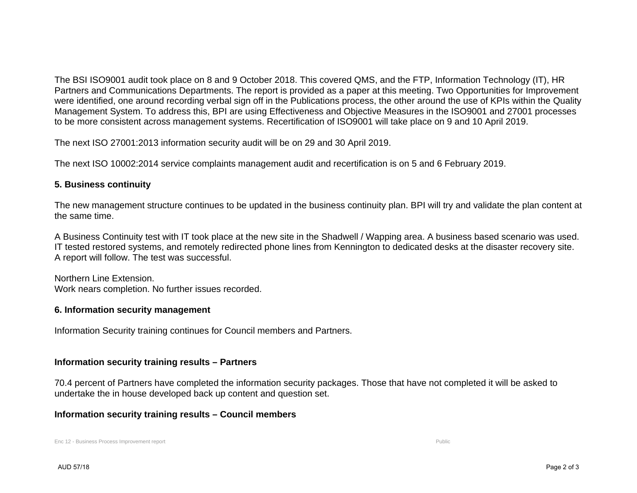The BSI ISO9001 audit took place on 8 and 9 October 2018. This covered QMS, and the FTP, Information Technology (IT), HR Partners and Communications Departments. The report is provided as a paper at this meeting. Two Opportunities for Improvement were identified, one around recording verbal sign off in the Publications process, the other around the use of KPIs within the Quality Management System. To address this, BPI are using Effectiveness and Objective Measures in the ISO9001 and 27001 processes to be more consistent across management systems. Recertification of ISO9001 will take place on 9 and 10 April 2019.

The next ISO 27001:2013 information security audit will be on 29 and 30 April 2019.

The next ISO 10002:2014 service complaints management audit and recertification is on 5 and 6 February 2019.

# **5. Business continuity**

The new management structure continues to be updated in the business continuity plan. BPI will try and validate the plan content at the same time.

A Business Continuity test with IT took place at the new site in the Shadwell / Wapping area. A business based scenario was used. IT tested restored systems, and remotely redirected phone lines from Kennington to dedicated desks at the disaster recovery site. A report will follow. The test was successful.

Northern Line Extension. Work nears completion. No further issues recorded.

## **6. Information security management**

Information Security training continues for Council members and Partners.

## **Information security training results – Partners**

70.4 percent of Partners have completed the information security packages. Those that have not completed it will be asked to undertake the in house developed back up content and question set.

#### **Information security training results – Council members**

Enc 12 - Business Process Improvement report Public